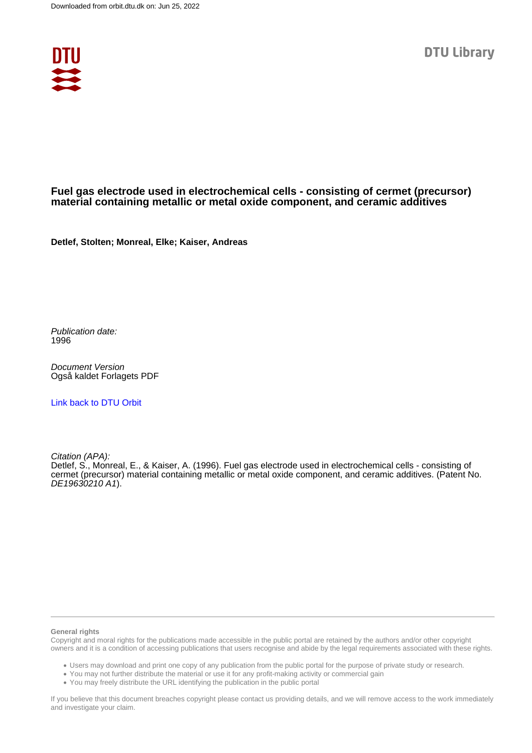

# **Fuel gas electrode used in electrochemical cells - consisting of cermet (precursor) material containing metallic or metal oxide component, and ceramic additives**

**Detlef, Stolten; Monreal, Elke; Kaiser, Andreas**

Publication date: 1996

Document Version Også kaldet Forlagets PDF

[Link back to DTU Orbit](https://orbit.dtu.dk/en/publications/0d63be31-7c8f-41a4-aef9-97d6fc4184d9)

Citation (APA):

Detlef, S., Monreal, E., & Kaiser, A. (1996). Fuel gas electrode used in electrochemical cells - consisting of cermet (precursor) material containing metallic or metal oxide component, and ceramic additives. (Patent No. DE19630210 A1).

### **General rights**

Copyright and moral rights for the publications made accessible in the public portal are retained by the authors and/or other copyright owners and it is a condition of accessing publications that users recognise and abide by the legal requirements associated with these rights.

Users may download and print one copy of any publication from the public portal for the purpose of private study or research.

- You may not further distribute the material or use it for any profit-making activity or commercial gain
- You may freely distribute the URL identifying the publication in the public portal

If you believe that this document breaches copyright please contact us providing details, and we will remove access to the work immediately and investigate your claim.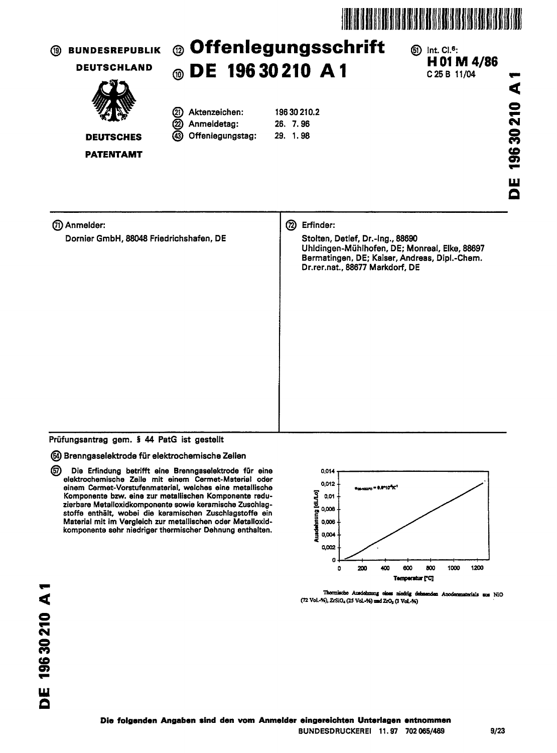



Die Erfindung betrifft eine Brenngaselektrode für eine டு elektrochemische Zelle mit einem Cermet-Material oder einem Cermet-Vorstufenmaterial, welches eine metallische Komponente bzw. eine zur metallischen Komponente reduzierbare Metalloxidkomponente sowie keramische Zuschlagstoffe enthält, wobei die keramischen Zuschlagstoffe ein Material mit im Vergleich zur metallischen oder Metalloxidkomponente sehr niedriger thermischer Dehnung enthalten.



Thermische Ausdehmung eines niedrig dehnenden Anodenmaterials sus NiO (72 Vol.-%), ZrSiO<sub>4</sub> (25 Vol.-%) and ZrO<sub>2</sub> (3 Vol.-%)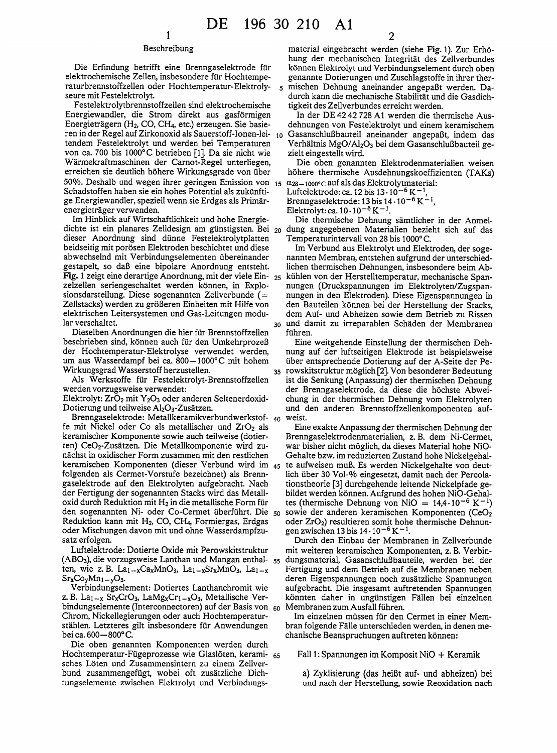$\overline{\phantom{a}}$ 

35

## Beschreibung

Die Erfindung betrifft eine Brenngaselektrode für elektrochemische Zellen, insbesondere für Hochtemperaturbrennstoffzellen oder Hochtemperatur-Elektrolyseure mit Festelektrolyt.

Festelektrolytbrennstoffzellen sind elektrochemische Energiewandler, die Strom direkt aus gasförmigen Energieträgern (H<sub>2</sub>, CO, CH<sub>4</sub>, etc.) erzeugen. Sie basieren in der Regel auf Zirkonoxid als Sauerstoff-Ionen-lei- 10 tendem Festelektrolyt und werden bei Temperaturen von ca. 700 bis 1000°C betrieben [1]. Da sie nicht wie Wärmekraftmaschinen der Carnot-Regel unterliegen, erreichen sie deutlich höhere Wirkungsgrade von über 50%. Deshalb und wegen ihrer geringen Emission von  $_{15}$   $\alpha_{28-1000^{\circ}}$ c auf als das Elektrolytmaterial: Schadstoffen haben sie ein hohes Potential als zukünftige Energiewandler, speziell wenn sie Erdgas als Primärenergieträger verwenden.

Im Hinblick auf Wirtschaftlichkeit und hohe Energiedichte ist ein planares Zelldesign am günstigsten. Bei 20 dieser Anordnung sind dünne Festelektrolytplatten beidseitig mit porösen Elektroden beschichtet und diese abwechselnd mit Verbindungselementen übereinander gestapelt, so daß eine bipolare Anordnung entsteht. Fig. 1 zeigt eine derartige Anordnung, mit der viele Einzelzellen seriengeschaltet werden können, in Explosionsdarstellung. Diese sogenannten Zellverbunde (= Zellstacks) werden zu größeren Einheiten mit Hilfe von elektrischen Leitersystemen und Gas-Leitungen modular verschaltet.

Dieselben Anordnungen die hier für Brennstoffzellen beschrieben sind, können auch für den Umkehrprozeß der Hochtemperatur-Elektrolyse verwendet werden, um aus Wasserdampf bei ca. 800-1000°C mit hohem Wirkungsgrad Wasserstoff herzustellen.

Als Werkstoffe für Festelektrolyt-Brennstoffzellen werden vorzugsweise verwendet:

Elektrolyt: ZrO<sub>2</sub> mit Y<sub>2</sub>O<sub>3</sub> oder anderen Seltenerdoxid-Dotierung und teilweise Al<sub>2</sub>O<sub>3</sub>-Zusätzen.

Brenngaselektrode: Metallkeramikverbundwerkstof- 40 fe mit Nickel oder Co als metallischer und ZrO<sub>2</sub> als keramischer Komponente sowie auch teilweise (dotierten) CeO<sub>2</sub>-Zusätzen. Die Metallkomponente wird zunächst in oxidischer Form zusammen mit den restlichen keramischen Komponenten (dieser Verbund wird im 45 folgenden als Cermet-Vorstufe bezeichnet) als Brenngaselektrode auf den Elektrolyten aufgebracht. Nach der Fertigung der sogenannten Stacks wird das Metalloxid durch Reduktion mit H<sub>2</sub> in die metallische Form für den sogenannten Ni- oder Co-Cermet überführt. Die 50 Reduktion kann mit H<sub>2</sub>, CO, CH<sub>4</sub>, Formiergas, Erdgas oder Mischungen davon mit und ohne Wasserdampfzusatz erfolgen.

Luftelektrode: Dotierte Oxide mit Perowskitstruktur (ABO<sub>3</sub>), die vorzugsweise Lanthan und Mangan enthal- 55 ten, wie z. B. La<sub>1</sub>-xCa<sub>x</sub>MnO<sub>3</sub>, La<sub>1-x</sub>Sr<sub>x</sub>MnO<sub>3</sub>, La<sub>1-x</sub>  $Sr_{x}Co_{y}Mn_{1-y}O_{3}$ 

Verbindungselement: Dotiertes Lanthanchromit wie z. B. La<sub>1-x</sub> Sr<sub>x</sub>CrO<sub>3</sub>, LaMg<sub>x</sub>Cr<sub>1-x</sub>O<sub>3</sub>, Metallische Verbindungselemente (Interconnectoren) auf der Basis von 60 Chrom, Nickellegierungen oder auch Hochtemperaturstählen. Letzteres gilt insbesondere für Anwendungen bei ca. 600 - 800°C.

Die oben genannten Komponenten werden durch Hochtemperatur-Fügeprozesse wie Glaslöten, kerami- 65 sches Löten und Zusammensintern zu einem Zellverbund zusammengefügt, wobei oft zusätzliche Dichtungselemente zwischen Elektrolyt und Verbindungs-

material eingebracht werden (siehe Fig. 1). Zur Erhöhung der mechanischen Integrität des Zellverbundes können Elektrolyt und Verbindungselement durch oben genannte Dotierungen und Zuschlagstoffe in ihrer thermischen Dehnung aneinander angepaßt werden. Dadurch kann die mechanische Stabilität und die Gasdichtigkeit des Zellverbundes erreicht werden.

In der DE 42 42 728 A1 werden die thermische Ausdehnungen von Festelektrolyt und einem keramischem Gasanschlußbauteil aneinander angepaßt, indem das Verhältnis MgO/Al2O3 bei dem Gasanschlußbauteil gezielt eingestellt wird.

Die oben genannten Elektrodenmaterialien weisen höhere thermische Ausdehnungskoeffizienten (TAKs)

Luftelektrode: ca. 12 bis  $13 \cdot 10^{-6}$  K<sup>-1</sup>

Brenngaselektrode: 13 bis 14 - 10<sup>-6</sup> K<sup>-1</sup>,<br>Elektrolyt: ca. 10 - 10<sup>-6</sup> K<sup>-1</sup>.

Die thermische Dehnung sämtlicher in der Anmeldung angegebenen Materialien bezieht sich auf das Temperaturintervall von 28 bis 1000°C.

Im Verbund aus Elektrolyt und Elektroden, der sogenannten Membran, entstehen aufgrund der unterschiedlichen thermischen Dehnungen, insbesondere beim Ab-25 kühlen von der Herstelltemperatur, mechanische Spannungen (Druckspannungen im Elektrolyten/Zugspannungen in den Elektroden). Diese Eigenspannungen in den Bauteilen können bei der Herstellung der Stacks, dem Auf- und Abheizen sowie dem Betrieb zu Rissen 30 und damit zu irreparablen Schäden der Membranen führen.

Eine weitgehende Einstellung der thermischen Dehnung auf der luftseitigen Elektrode ist beispielsweise über entsprechende Dotierung auf der A-Seite der Perowskitstruktur möglich [2]. Von besonderer Bedeutung ist die Senkung (Anpassung) der thermischen Dehnung der Brenngaselektrode, da diese die höchste Abweichung in der thermischen Dehnung vom Elektrolyten und den anderen Brennstoffzellenkomponenten aufweist.

Eine exakte Anpassung der thermischen Dehnung der Brenngaselektrodenmaterialien, z. B. dem Ni-Cermet, war bisher nicht möglich, da dieses Material hohe NiO-Gehalte bzw. im reduzierten Zustand hohe Nickelgehalte aufweisen muß. Es werden Nickelgehalte von deutlich über 30 Vol-% eingesetzt, damit nach der Percolationstheorie [3] durchgehende leitende Nickelpfade gebildet werden können. Aufgrund des hohen NiO-Gehaltes (thermische Dehnung von NiO =  $14,4 \cdot 10^{-6}$  K<sup>-1</sup>) sowie der anderen keramischen Komponenten (CeO<sub>2</sub> oder ZrO<sub>2</sub>) resultieren somit hohe thermische Dehnungen zwischen 13 bis  $14 \cdot 10^{-6}$  K<sup>-1</sup>.

Durch den Einbau der Membranen in Zellverbunde mit weiteren keramischen Komponenten, z. B. Verbindungsmaterial, Gasanschlußbauteile, werden bei der Fertigung und dem Betrieb auf die Membranen neben deren Eigenspannungen noch zusätzliche Spannungen aufgebracht. Die insgesamt auftretenden Spannungen könnten daher in ungünstigen Fällen bei einzelnen Membranen zum Ausfall führen.

Im einzelnen müssen für den Cermet in einer Membran folgende Fälle unterschieden werden, in denen mechanische Beanspruchungen auftreten können:

Fall 1: Spannungen im Komposit NiO + Keramik

a) Zyklisierung (das heißt auf- und abheizen) bei und nach der Herstellung, sowie Reoxidation nach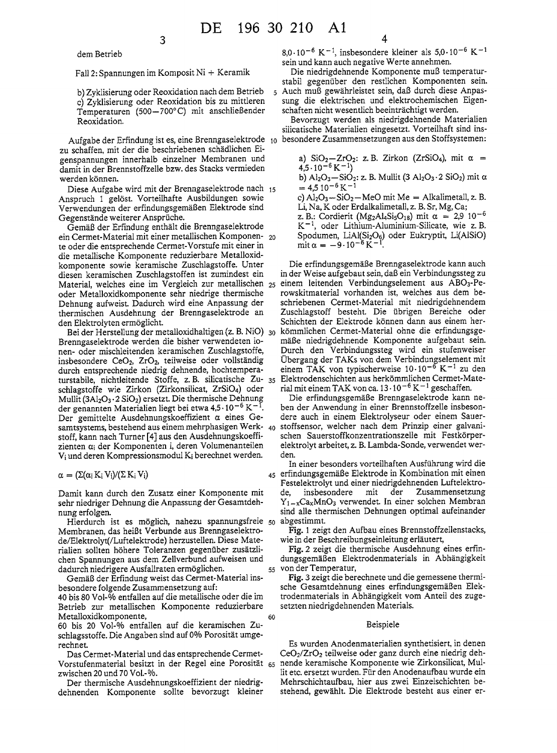dem Betrieb

Fall 2: Spannungen im Komposit Ni + Keramik

3

b) Zyklisierung oder Reoxidation nach dem Betrieb c) Zyklisierung oder Reoxidation bis zu mittleren Temperaturen (500-700°C) mit anschließender Reoxidation.

Aufgabe der Erfindung ist es, eine Brenngaselektrode 10 zu schaffen, mit der die beschriebenen schädlichen Eigenspannungen innerhalb einzelner Membranen und damit in der Brennstoffzelle bzw. des Stacks vermieden werden können.

Diese Aufgabe wird mit der Brenngaselektrode nach 15 Anspruch 1 gelöst. Vorteilhafte Ausbildungen sowie Verwendungen der erfindungsgemäßen Elektrode sind Gegenstände weiterer Ansprüche.

Gemäß der Erfindung enthält die Brenngaselektrode ein Cermet-Material mit einer metallischen Komponen- 20 te oder die entsprechende Cermet-Vorstufe mit einer in die metallische Komponente reduzierbare Metalloxidkomponente sowie keramische Zuschlagstoffe. Unter diesen keramischen Zuschlagstoffen ist zumindest ein Material, welches eine im Vergleich zur metallischen 25 oder Metalloxidkomponente sehr niedrige thermische Dehnung aufweist. Dadurch wird eine Anpassung der thermischen Ausdehnung der Brenngaselektrode an den Elektrolyten ermöglicht.

Bei der Herstellung der metalloxidhaltigen (z. B. NiO) 30 Brenngaselektrode werden die bisher verwendeten ionen- oder mischleitenden keramischen Zuschlagstoffe, insbesondere CeO<sub>2</sub>, ZrO<sub>2</sub>, teilweise oder vollständig durch entsprechende niedrig dehnende, hochtemperaturstabile, nichtleitende Stoffe, z. B. silicatische Zu- 35 schlagstoffe wie Zirkon (Zirkonsilicat, ZrSiO<sub>4</sub>) oder Mullit  $(3Al<sub>2</sub>O<sub>3</sub> \cdot 2 SiO<sub>2</sub>)$  ersetzt. Die thermische Dehnung der genannten Materialien liegt bei etwa 4,5 $\cdot$ 10<sup>-6</sup> K<sup>-1</sup>. Der gemittelte Ausdehnungskoeffizient  $\alpha$  eines Gesamtsystems, bestehend aus einem mehrphasigen Werk- 40 stoff, kann nach Turner [4] aus den Ausdehnungskoeffizienten  $\alpha_i$  der Komponenten i, deren Volumenanteilen V<sub>i</sub> und deren Kompressionsmodul K<sub>i</sub> berechnet werden.

 $\alpha = (\Sigma(\alpha_i K_i V_i)/(\Sigma K_i V_i))$ 

Damit kann durch den Zusatz einer Komponente mit sehr niedriger Dehnung die Anpassung der Gesamtdehnung erfolgen.

Hierdurch ist es möglich, nahezu spannungsfreie 50 Membranen, das heißt Verbunde aus Brenngaselektrode/Elektrolyt(/Luftelektrode) herzustellen. Diese Materialien sollten höhere Toleranzen gegenüber zusätzlichen Spannungen aus dem Zellverbund aufweisen und dadurch niedrigere Ausfallraten ermöglichen.

Gemäß der Erfindung weist das Cermet-Material insbesondere folgende Zusammensetzung auf:

40 bis 80 Vol-% entfallen auf die metallische oder die im Betrieb zur metallischen Komponente reduzierbare Metalloxidkomponente,

60

60 bis 20 Vol-% entfallen auf die keramischen Zuschlagsstoffe. Die Angaben sind auf 0% Porosität umgerechnet.

Das Cermet-Material und das entsprechende Cermet-Vorstufenmaterial besitzt in der Regel eine Porosität 65 zwischen 20 und 70 Vol.-%.

Der thermische Ausdehnungskoeffizient der niedrigdehnenden Komponente sollte bevorzugt kleiner 8,0.10<sup>-6</sup> K<sup>-1</sup>, insbesondere kleiner als  $5,0.10^{-6}$  K<sup>-1</sup> sein und kann auch negative Werte annehmen.

Die niedrigdehnende Komponente muß temperaturstabil gegenüber den restlichen Komponenten sein. 5 Auch muß gewährleistet sein, daß durch diese Anpassung die elektrischen und elektrochemischen Eigenschaften nicht wesentlich beeinträchtigt werden.

Bevorzugt werden als niedrigdehnende Materialien silicatische Materialien eingesetzt. Vorteilhaft sind insbesondere Zusammensetzungen aus den Stoffsystemen:

a)  $SiO_2 - ZrO_2$ : z. B. Zirkon (ZrSiO<sub>4</sub>), mit  $\alpha$  =  $4.5 \cdot 10^{-6}$  K<sup>-1</sup>) b)  $Al_2O_3-SiO_2$ : z. B. Mullit (3  $Al_2O_3 \tcdot 2$  SiO<sub>2</sub>) mit  $\alpha$  $= 4.5 10^{-6}$  K<sup>-1</sup> c)  $Al_2O_3-SiO_2-MeO$  mit Me = Alkalimetall, z. B. Li, Na, K oder Erdalkalimetall, z. B. Sr, Mg, Ca; z. B.: Cordierit (Mg<sub>2</sub>Al<sub>4</sub>Si<sub>5</sub>O<sub>18</sub>) mit  $\alpha = 2.9$  10<sup>-6</sup>  $K^{-1}$ , oder Lithium-Aluminium-Silicate, wie z. B. Spodumen, LiAl(Si<sub>2</sub>O<sub>6</sub>) oder Eukryptit, Li(AlSiO)<br>mit  $\alpha = -9.10^{-6} K^{-1}$ .

Die erfindungsgemäße Brenngaselektrode kann auch in der Weise aufgebaut sein, daß ein Verbindungssteg zu einem leitenden Verbindungselement aus ABO<sub>3</sub>-Perowskitmaterial vorhanden ist, welches aus dem beschriebenen Cermet-Material mit niedrigdehnendem Zuschlagstoff besteht. Die übrigen Bereiche oder Schichten der Elektrode können dann aus einem herkömmlichen Cermet-Material ohne die erfindungsgemäße niedrigdehnende Komponente aufgebaut sein. Durch den Verbindungssteg wird ein stufenweiser Übergang der TAKs von dem Verbindungselement mit einem TAK von typischerweise 10.10<sup>-6</sup> K<sup>-1</sup> zu den Elektrodenschichten aus herkömmlichen Cermet-Material mit einem TAK von ca.  $13 \cdot 10^{-6}$  K<sup>-1</sup> geschaffen.

Die erfindungsgemäße Brenngaselektrode kann neben der Anwendung in einer Brennstoffzelle insbesondere auch in einem Elektrolyseur oder einem Sauerstoffsensor, welcher nach dem Prinzip einer galvanischen Sauerstoffkonzentrationszelle mit Festkörperelektrolyt arbeitet, z. B. Lambda-Sonde, verwendet werden.

In einer besonders vorteilhaften Ausführung wird die 45 erfindungsgemäße Elektrode in Kombination mit einen Festelektrolyt und einer niedrigdehnenden Luftelektroder de. insbesondere mit Zusammensetzung  $Y_{1-x}$ Ca<sub>x</sub>MnO<sub>3</sub> verwendet. In einer solchen Membran sind alle thermischen Dehnungen optimal aufeinander abgestimmt.

Fig. 1 zeigt den Aufbau eines Brennstoffzellenstacks, wie in der Beschreibungseinleitung erläutert,

Fig. 2 zeigt die thermische Ausdehnung eines erfindungsgemäßen Elektrodenmaterials in Abhängigkeit 55 von der Temperatur.

Fig. 3 zeigt die berechnete und die gemessene thermische Gesamtdehnung eines erfindungsgemäßen Elektrodenmaterials in Abhängigkeit vom Anteil des zugesetzten niedrigdehnenden Materials.

### Beispiele

Es wurden Anodenmaterialien synthetisiert, in denen  $CeO<sub>2</sub>/ZrO<sub>2</sub>$  teilweise oder ganz durch eine niedrig dehnende keramische Komponente wie Zirkonsilicat, Mullit etc. ersetzt wurden. Für den Anodenaufbau wurde ein Mehrschichtaufbau, hier aus zwei Einzelschichten bestehend, gewählt. Die Elektrode besteht aus einer er-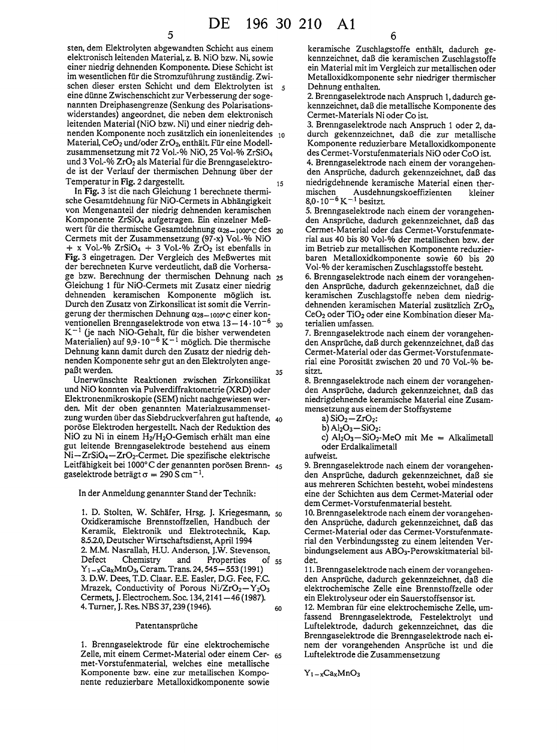sten, dem Elektrolyten abgewandten Schicht aus einem elektronisch leitenden Material, z. B. NiO bzw. Ni, sowie einer niedrig dehnenden Komponente. Diese Schicht ist im wesentlichen für die Stromzuführung zuständig. Zwischen dieser ersten Schicht und dem Elektrolyten ist eine dünne Zwischenschicht zur Verbesserung der sogenannten Dreiphasengrenze (Senkung des Polarisationswiderstandes) angeordnet, die neben dem elektronisch leitenden Material (NiO bzw. Ni) und einer niedrig dehnenden Komponente noch zusätzlich ein ionenleitendes 10 Material, CeO<sub>2</sub> und/oder ZrO<sub>2</sub>, enthält. Für eine Modellzusammensetzung mit 72 Vol.-% NiO, 25 Vol-% ZrSiO<sub>4</sub> und 3 Vol.-% ZrO<sub>2</sub> als Material für die Brenngaselektrode ist der Verlauf der thermischen Dehnung über der Temperatur in Fig. 2 dargestellt. 15

In Fig. 3 ist die nach Gleichung 1 berechnete thermische Gesamtdehnung für NiO-Cermets in Abhängigkeit von Mengenanteil der niedrig dehnenden keramischen Komponente ZrSiO<sub>4</sub> aufgetragen. Ein einzelner Meßwert für die thermische Gesamtdehnung  $\alpha_{28-1000^{\circ}}$ c des 20 Cermets mit der Zusammensetzung (97-x) Vol.-% NiO + x Vol.-% ZrSiO<sub>4</sub> + 3 Vol.-% ZrO<sub>2</sub> ist ebenfalls in Fig. 3 eingetragen. Der Vergleich des Meßwertes mit der berechneten Kurve verdeutlicht, daß die Vorhersage bzw. Berechnung der thermischen Dehnung nach 25 Gleichung 1 für NiO-Cermets mit Zusatz einer niedrig dehnenden keramischen Komponente möglich ist. Durch den Zusatz von Zirkonsilicat ist somit die Verringerung der thermischen Dehnung  $\alpha_{28-1000^{\circ}}$ c einer konventionellen Brenngaselektrode von etwa 13 - 14 · 10<sup>-6</sup> 30  $K^{-1}$  (je nach NiO-Gehalt, für die bisher verwendeten Materialien) auf 9,9  $\cdot$  10<sup>-6</sup> K<sup>-1</sup> möglich. Die thermische Dehnung kann damit durch den Zusatz der niedrig dehnenden Komponente sehr gut an den Elektrolyten angepaßt werden. 35

Unerwünschte Reaktionen zwischen Zirkonsilikat und NiO konnten via Pulverdiffraktometrie (XRD) oder Elektronenmikroskopie (SEM) nicht nachgewiesen werden. Mit der oben genannten Materialzusammensetzung wurden über das Siebdruckverfahren gut haftende, 40 poröse Elektroden hergestellt. Nach der Reduktion des NiO zu Ni in einem H<sub>2</sub>/H<sub>2</sub>O-Gemisch erhält man eine gut leitende Brenngaselektrode bestehend aus einem Ni-ZrSiO<sub>4</sub>-ZrO<sub>2</sub>-Cermet. Die spezifische elektrische Leitfähigkeit bei 1000°C der genannten porösen Brenn- 45 gaselektrode beträgt  $\sigma = 290 S \text{ cm}^{-1}$ .

In der Anmeldung genannter Stand der Technik:

1. D. Stolten, W. Schäfer, Hrsg. J. Kriegesmann, 50 Oxidkeramische Brennstoffzellen, Handbuch der Keramik, Elektronik und Elektrotechnik, Kap. 8.5.2.0, Deutscher Wirtschaftsdienst, April 1994 2. M.M. Nasrallah, H.U. Anderson, J.W. Stevenson, Defect Chemistry and Properties  $of$  55  $Y_1 - xCa_x MnO_3$ , Ceram. Trans. 24, 545 - 553 (1991) 3. D.W. Dees, T.D. Claar. E.E. Easler, D.G. Fee, F.C. Mrazek, Conductivity of Porous Ni/ZrO<sub>2</sub>-Y<sub>2</sub>O<sub>3</sub> Cermets, J. Electrochem. Soc. 134, 2141 - 46 (1987). 4. Turner, J. Res. NBS 37, 239 (1946). 60

## Patentansprüche

1. Brenngaselektrode für eine elektrochemische Zelle, mit einem Cermet-Material oder einem Cer- 65 met-Vorstufenmaterial, welches eine metallische Komponente bzw. eine zur metallischen Komponente reduzierbare Metalloxidkomponente sowie

keramische Zuschlagstoffe enthält, dadurch gekennzeichnet, daß die keramischen Zuschlagstoffe ein Material mit im Vergleich zur metallischen oder Metalloxidkomponente sehr niedriger thermischer Dehnung enthalten.

2. Brenngaselektrode nach Anspruch 1, dadurch gekennzeichnet, daß die metallische Komponente des Cermet-Materials Ni oder Co ist.

3. Brenngaselektrode nach Anspruch 1 oder 2, dadurch gekennzeichnet, daß die zur metallische Komponente reduzierbare Metalloxidkomponente des Cermet-Vorstufenmaterials NiO oder CoO ist.

4. Brenngaselektrode nach einem der vorangehenden Ansprüche, dadurch gekennzeichnet, daß das niedrigdehnende keramische Material einen thermischen Ausdehnungskoeffizienten kleiner  $8.0 \cdot 10^{-6}$  K<sup>-1</sup> besitzt.

5. Brenngaselektrode nach einem der vorangehenden Ansprüche, dadurch gekennzeichnet, daß das Cermet-Material oder das Cermet-Vorstufenmaterial aus 40 bis 80 Vol-% der metallischen bzw. der im Betrieb zur metallischen Komponente reduzierbaren Metalloxidkomponente sowie 60 bis 20 Vol-% der keramischen Zuschlagsstoffe besteht.

6. Brenngaselektrode nach einem der vorangehenden Ansprüche, dadurch gekennzeichnet, daß die keramischen Zuschlagstoffe neben dem niedrigdehnenden keramischen Material zusätzlich ZrO2, CeO<sub>2</sub> oder TiO<sub>2</sub> oder eine Kombination dieser Materialien umfassen.

7. Brenngaselektrode nach einem der vorangehenden Ansprüche, daß durch gekennzeichnet, daß das Cermet-Material oder das Germet-Vorstufenmaterial eine Porosität zwischen 20 und 70 Vol.-% besitzt.

8. Brenngaselektrode nach einem der vorangehenden Ansprüche, dadurch gekennzeichnet, daß das niedrigdehnende keramische Material eine Zusammensetzung aus einem der Stoffsysteme

a)  $SiO<sub>2</sub> - ZrO<sub>2</sub>$ :

$$
b) Al2O3 - SiO2.
$$

c)  $Al_2O_3-SiO_2$ -MeO mit Me = Alkalimetall oder Erdalkalimetall

aufweist.

9. Brenngaselektrode nach einem der vorangehenden Ansprüche, dadurch gekennzeichnet, daß sie aus mehreren Schichten besteht, wobei mindestens eine der Schichten aus dem Cermet-Material oder dem Cermet-Vorstufenmaterial besteht.

10. Brenngaselektrode nach einem der vorangehenden Ansprüche, dadurch gekennzeichnet, daß das Cermet-Material oder das Cermet-Vorstufenmaterial den Verbindungssteg zu einem leitenden Verbindungselement aus ABO<sub>3</sub>-Perowskitmaterial bildet.

11. Brenngaselektrode nach einem der vorangehenden Ansprüche, dadurch gekennzeichnet, daß die elektrochemische Zelle eine Brennstoffzelle oder ein Elektrolyseur oder ein Sauerstoffsensor ist.

12. Membran für eine elektrochemische Zelle, umfassend Brenngaselektrode, Festelektrolyt und Luftelektrode, dadurch gekennzeichnet, das die Brenngaselektrode die Brenngaselektrode nach einem der vorangehenden Ansprüche ist und die Luftelektrode die Zusammensetzung

 $Y_1 - x Ca_x MnO_3$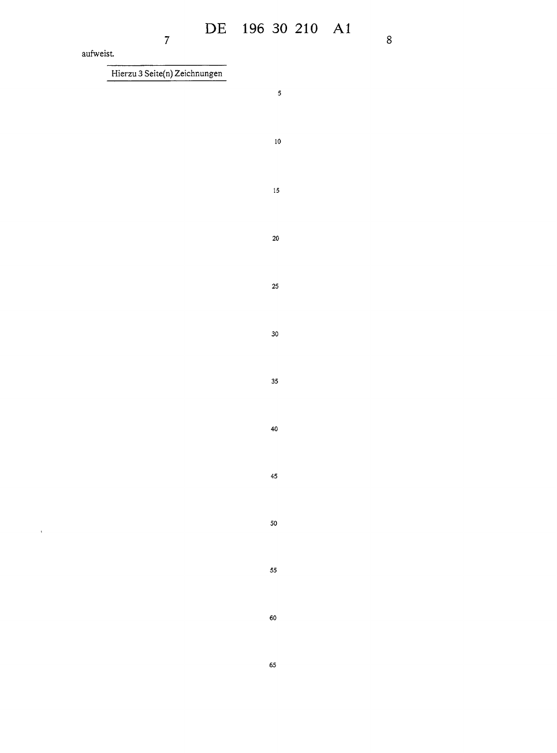$\hat{\mathbf{r}}$ 

Hierzu 3 Seite(n) Zeichnungen

 $\overline{7}$ 

 $\overline{\mathbf{5}}$ 

 $10$ 

 $15$ 

 $\bf{20}$ 

25

30

35

 ${\bf 40}$ 

45

50

55

60

65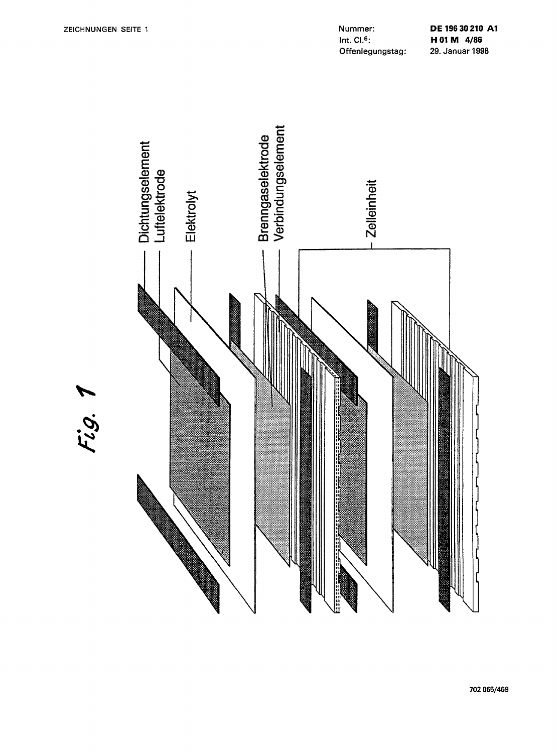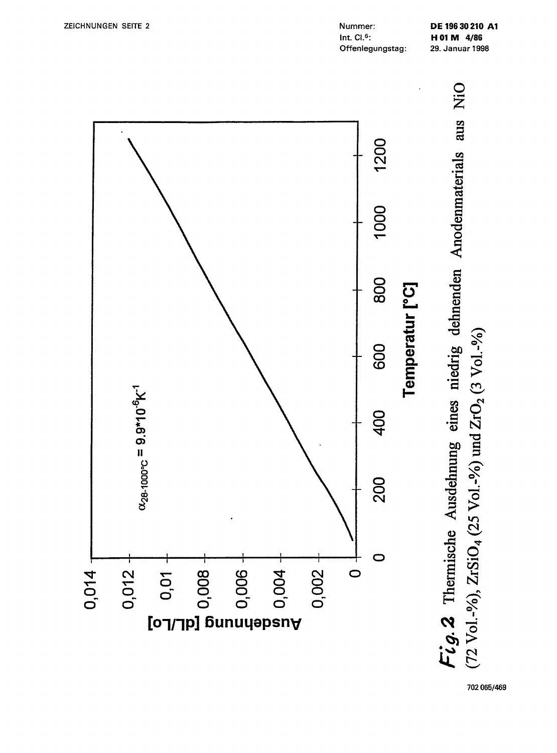